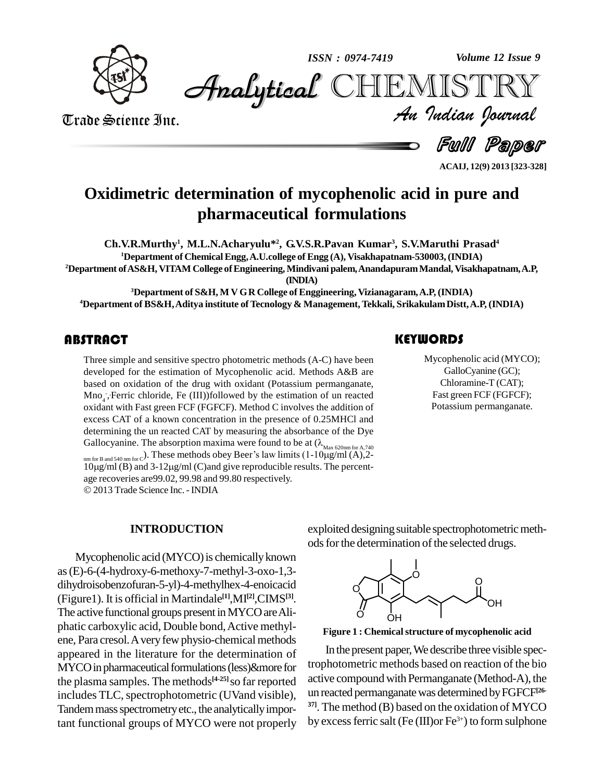

*Volume 12 Issue 9*



Trade Science Inc. Trade Science Inc.

*Volume 12 Issue 9*<br>IISTRY<br>Indian Iournal **Analytical** CHEMISTRY

Full Paper

**ACAIJ, 12(9) 2013 [323-328]**

## **Oxidimetric determination of mycophenolic acid in pure and pharmaceutical formulations**

**Ch.V.R.Murthy 1 , M.L.N.Acharyulu\* 2 , G.V.S.R.Pavan Kumar 3 , S.V.Maruthi Prasad 4 <sup>1</sup>Department of ChemicalEngg,A.U.college of Engg (A), Visakhapatnam-530003, (INDIA) <sup>2</sup>Department ofAS&H, VITAM College ofEngineering, Mindivani palem,AnandapuramMandal, Visakhapatnam,A.P,**

**(INDIA)**

**<sup>3</sup>Department of S&H, M V GR College of Enggineering, Vizianagaram,A.P, (INDIA) <sup>4</sup>Department of BS&H,Aditya institute of Tecnology & Management, Tekkali, SrikakulamDistt,A.P, (INDIA)**

Three simple and sensitive<br>developed for the estim<br>based on oxidation of t Three simple and sensitive spectro photometric methods (A-C) have been developed for the estimation of Mycophenolic acid. Methods A&B are based on oxidation of the drug with oxidant (Potassium permanganate, Mno<sub>4</sub>, Ferric chloride, Fe (III))followed by the estimation of un reacted oxidant with Fast green FCF (FGFCF). Method C involves the addition of excess CAT of a known concentration in the presence of 0.25MHCl and determining the un reacted CAT by measuring the absorbance of the Dye excess CAT of a known concentration in the presence of 0.25MHCl and<br>determining the un reacted CAT by measuring the absorbance of the Dye<br>Gallocyanine. The absorption maxima were found to be at ( $\lambda_{\text{Max 620nm for A,740}}$ be un reacted CAT by measuring the absorbance of the Dye<br>The absorption maxima were found to be at  $(\lambda_{\text{Max 620nm for A,740}})$ . These methods obey Beer's law limits  $(1-10\mu g/ml (A),2-$ 

nm for B and 540 nm for  $C^{\prime}$ Gallocyanine. The absorption maxima were found to be at  $(\lambda_{\text{Max 620nm for A,740}})$ <br>nm for B and 540 nm for c). These methods obey Beer's law limits  $(1-10\mu\text{g/ml (A)}, 2-10\mu\text{g/ml (B)}$  and  $3-12\mu\text{g/ml (C)}$  and give reproducible r 10μg/ml (B) and 3-12μg/ml (C)and give reproducible resu<br>age recoveries are99.02, 99.98 and 99.80 respectively. 2013 Trade Science Inc. -INDIA

### **KEYWORDS**

Mycophenolic acid (<br>GalloCyanine (C<br>Chloramine-T (C Mycophenolic acid (MYCO); GalloCyanine (GC); Chloramine-T (CAT); Fast green FCF (FGFCF); Potassium permanganate.

#### **INTRODUCTION**

Mycophenolic acid (MYCO) is chemically known as(E)-6-(4-hydroxy-6-methoxy-7-methyl-3-oxo-1,3 dihydroisobenzofuran-5-yl)-4-methylhex-4-enoicacid (Figure1). It is official in Martindale **[1]**,MI **[2]**,CIMS **[3]**. The active functional groups present in MYCO are Aliphatic carboxylic acid, Double bond,Active methyl ene, Para cresol. A very few physio-chemical methods appeared in the literature for the determination of MYCO in pharmaceutical formulations (less)&more for the plasma samples. The methods<sup>[4-25]</sup> so far reported active o includes TLC, spectrophotometric (UVand visible), Tandem mass spectrometry etc., the analytically important functional groups of MYCO were not properly

exploited designing suitable spectrophotometric methods for the determination of the selected drugs.





In the present paper,We describe three visible spectrophotometric methods based on reaction of the bio active compound with Permanganate (Method-A), the un reacted permanganatewas determined byFGFCF **[26- 37]**. The method (B) based on the oxidation of MYCO by excessferric salt (Fe (III)or Fe 3+) to form sulphone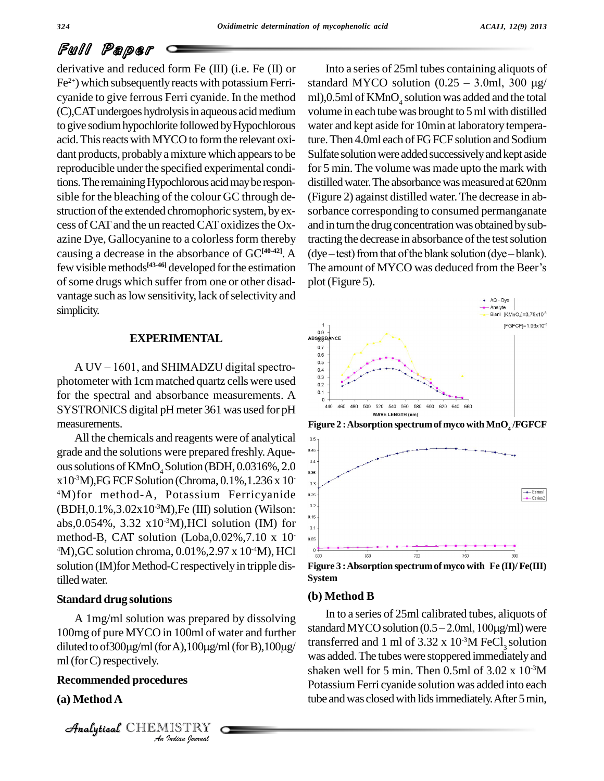derivative and reduced form Fe (III) (i.e. Fe (II) or  $Fe<sup>2+</sup>$ ) which subsequently reacts with potassium Ferri- star cyanide to give ferrous Ferri cyanide. In the method (C),CATundergoes hydrolysisin aqueous acidmedium to give sodium hypochlorite followed by Hypochlorous acid. This reacts with MYCO to form the relevant oxidant products, probably a mixture which appears to be reproducible under the specified experimental conditions. The remaining Hypochlorous acid may be responsible for the bleaching of the colour GC through de struction of the extended chromophoric system, by excess of CAT and the un reacted CAT oxidizes the Oxazine Dye, Gallocyanine to a colorless form thereby causing a decrease in the absorbance of GC**[40-42]**. A few visible methods<sup>[43-46]</sup> developed for the estimation The an of some drugs which suffer from one or other disadvantage such as low sensitivity, lack of selectivity and simplicity.

#### **EXPERIMENTAL**

**EXPERIMENTAL**<br>A UV – 1601, and SHIMADZU digital spectrophotometer with 1cm matched quartz cells were used  $\frac{^{0.3}}{^{0.2}}$ for the spectral and absorbance measurements. A  $\frac{0.1}{0.1}$ SYSTRONICS digital pH meter 361 was used for pH measurements.

All the chemicals and reagents were of analytical  $\Box$ grade and the solutions were prepared freshly. Aqueous solutions of  $KMnO<sub>4</sub>$  Solution (BDH, 0.0316%, 2.0  $\rm{x}10^{3}M$ ), FG FCF Solution (Chroma, 0.1%, 1.236 x 10  $\,$   $\,$   $\rm{m}$  )  $^{4}$ M)for method-A, Potassium Ferricyanide  $(BDH, 0.1\%, 3.02 \times 10^{-3} M)$ , Fe (III) solution (Wilson: <sup>02</sup>] abs, 0.054%, 3.32 x 10<sup>-3</sup>M), HCl solution (IM) for  $\frac{1}{2}$ method-B, CAT solution (Loba,0.02%,7.10 x 10  $^{4}$ M),GC solution chroma, 0.01%,2.97 x 10<sup>-4</sup>M), HCl  $^{0}$ . solution (IM) for Method-C respectively in tripple distilledwater.

#### **Standard drug solutions**

 $mI$  (for C) respectively. *Indian Journal* A 1mg/ml solution was prepared by dissolving 100mg of pure MYCO in 100ml of water and further diluted to of  $300\mu\text{g/ml}$  (for A),  $100\mu\text{g/ml}$  (for B),  $100\mu\text{g/m}$ 

#### **Recommended procedures**

#### **(a) Method A**

 $\mathcal{A}$ nalytical $\mathcal{C}$ HEMISTRY

Into a series of 25ml tubes containing aliquots of standard MYCO solution  $(0.25 - 3.0$ ml, 300  $\mu$ g/ ml),0.5ml of  $KMnO<sub>4</sub>$  solution was added and the total volume in each tube was brought to 5ml with distilled water and kept aside for 10min at laboratory temperature. Then 4.0ml each of FG FCF solution and Sodium Sulfate solution were added successively and kept aside for 5 min. The volume was made upto the mark with distilled water. The absorbance was measured at 620nm (Figure 2) against distilled water.The decrease in ab sorbance corresponding to consumed permanganate and in turn the drug concentration was obtained by subtracting the decrease in absorbance of the test solution and in turn the drug concentration was obtained by subtracting the decrease in absorbance of the test solution<br>(dye – test) from that of the blank solution (dye – blank). tracting the decrease in absorbance of the test solution<br>(dye – test) from that of the blank solution (dye – blank).<br>The amount of MYCO was deduced from the Beer's plot(Figure 5).



**Figure 2 :Absorption spectrumof myco withMnO<sup>4</sup> -/FGFCF**



**Figure 3 :Absorption spectrumof myco with Fe (II)/ Fe(III) System**

#### **(b) Method B**

In to a series of 25ml calibrated tubes, aliquots of standard MYCO solution  $(0.5 - 2.0$ ml,  $100\mu g/ml)$  were transferred and 1 ml of  $3.32 \times 10^{-3}$ M FeCl<sub>3</sub> solution was added. The tubes were stoppered immediately and shaken well for 5 min. Then  $0.5$ ml of  $3.02 \times 10^{-3}$ M Potassium Ferri cyanide solution was added into each tube and was closed with lids immediately. After 5 min,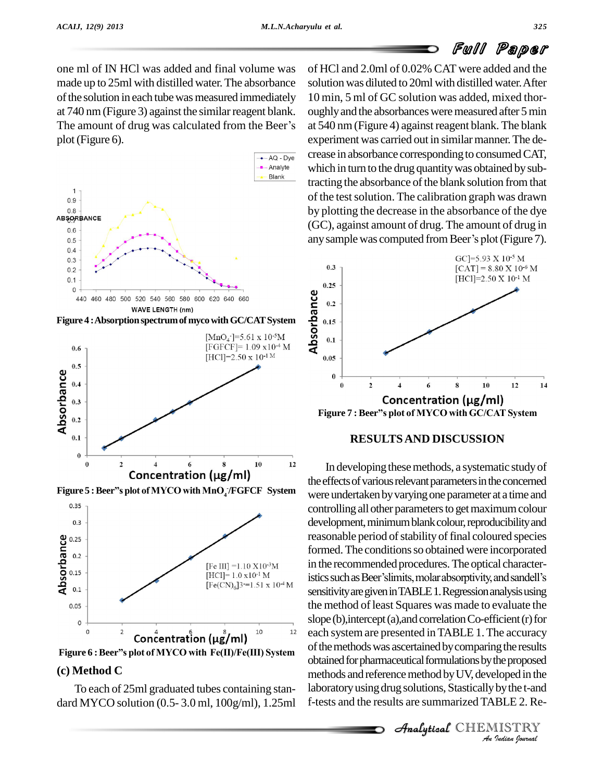one ml of IN HCl was added and final volume was made up to 25ml with distilled water.The absorbance of the solution in each tube was measured immediately at 740 nm (Figure 3) against the similar reagent blank. ou of the solution in each tube was measured immediately 10 m<br>at 740 nm (Figure 3) against the similar reagent blank. ough<br>The amount of drug was calculated from the Beer's at 54 plot(Figure 6).









#### **(c) Method C**

To each of 25ml graduated tubes containing stan dard MYCO solution (0.5- 3.0 ml, 100g/ml), 1.25ml of HCl and 2.0ml of 0.02% CAT were added and the solution was diluted to 20ml with distilled water.After 10 min, 5 ml of GC solution was added, mixed thor oughly and the absorbances were measured after 5 min at 540 nm (Figure 4) against reagent blank. The blank experiment was carried out in similar manner. The decrease in absorbance corresponding to consumed CAT, which in turn to the drug quantity was obtained by subtracting the absorbance of the blank solution from that of the test solution. The calibration graph was drawn by plotting the decrease in the absorbance of the dye<br>(GC), against amount of drug. The amount of drug in<br>any sample was computed from Beer's plot (Figure 7). (GC), against amount of drug. The amount of drug in



#### **RESULTSAND DISCUSSION**

obtained for pharmaceutical formulations by the proposed<br>
methods and reference method by UV, developed in the<br>
laboratory using drug solutions, Stastically by the t-and<br>
f-tests and the results are summarized TABLE 2. Re-In developing these methods, a systematic study of the effects of various relevant parameters in the concerned were undertaken by varying one parameter at a time and controlling all other parameters to get maximum colour development, minimum blank colour, reproducibility and reasonable period of stability of final coloured species formed. The conditions so obtained were incorporated in the recommended procedures. The optical characterformed. The conditions so obtained were incorporated<br>in the recommended procedures. The optical characteristics such as Beer'slimits, molar absorptivity, and sandell's sensitivity are given in TABLE 1. Regression analysis using the method of least Squares was made to evaluate the slope  $(b)$ , intercept  $(a)$ , and correlation Co-efficient  $(r)$  for each systemare presented inTABLE 1.The accuracy of the methods was ascertained by comparing the results methods and reference method by UV, developed in the laboratory using drug solutions, Stastically by the t-and f-tests and the results are summarized TABLE 2. Re-

 $\mathcal{A}$ nalytical $\mathcal{C}$ HEMISTRY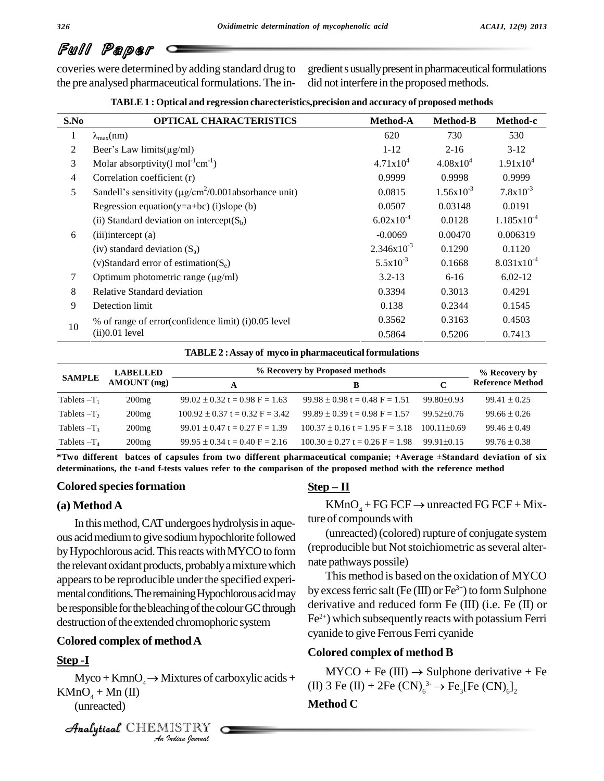the pre analysed pharmaceutical formulations. The in-

coveries were determined by adding standard drug to gredient susually present in pharmaceutical formulations did not interfere in the proposed methods.

| TABLE 1 : Optical and regression charecteristics, precision and accuracy of proposed methods |  |
|----------------------------------------------------------------------------------------------|--|
|                                                                                              |  |

| S.No           | <b>OPTICAL CHARACTERISTICS</b>                                          | <b>Method-A</b> | <b>Method-B</b> | Method-c               |
|----------------|-------------------------------------------------------------------------|-----------------|-----------------|------------------------|
| 1              | $\lambda_{\max}(nm)$                                                    | 620             | 730             | 530                    |
| 2              | Beer's Law limits $(\mu g/ml)$                                          | $1 - 12$        | $2 - 16$        | $3-12$                 |
| 3              | Molar absorptivity(1 mol <sup>-1</sup> cm <sup>-1</sup> )               | $4.71x10^{4}$   | $4.08x10^{4}$   | $1.91x10^{4}$          |
| $\overline{4}$ | Correlation coefficient (r)                                             | 0.9999          | 0.9998          | 0.9999                 |
| 5              | Sandell's sensitivity ( $\mu$ g/cm <sup>2</sup> /0.001 absorbance unit) | 0.0815          | $1.56x10^{-3}$  | $7.8x10^{-3}$          |
|                | Regression equation( $y=a+bc$ ) (i)slope (b)                            | 0.0507          | 0.03148         | 0.0191                 |
|                | (ii) Standard deviation on intercept $(S_b)$                            | $6.02x10^{-4}$  | 0.0128          | $1.185 \times 10^{-4}$ |
| 6              | $(iii)$ intercept $(a)$                                                 | $-0.0069$       | 0.00470         | 0.006319               |
|                | (iv) standard deviation $(S_a)$                                         | $2.346x10^{-3}$ | 0.1290          | 0.1120                 |
|                | (v)Standard error of estimation( $S_e$ )                                | $5.5x10^{-3}$   | 0.1668          | $8.031x10^{-4}$        |
| 7              | Optimum photometric range $(\mu g/ml)$                                  | $3.2 - 13$      | $6-16$          | $6.02 - 12$            |
| 8              | Relative Standard deviation                                             | 0.3394          | 0.3013          | 0.4291                 |
| 9              | Detection limit                                                         | 0.138           | 0.2344          | 0.1545                 |
| 10             | % of range of error(confidence limit) (i)0.05 level                     | 0.3562          | 0.3163          | 0.4503                 |
|                | (ii) 0.01 level                                                         | 0.5864          | 0.5206          | 0.7413                 |

#### **TABLE2 :Assay of myco in pharmaceutical formulations**

| <b>SAMPLE</b>  | <b>LABELLED</b> | % Recovery by Proposed methods      |                                                                                                                   |                  | % Recovery by           |
|----------------|-----------------|-------------------------------------|-------------------------------------------------------------------------------------------------------------------|------------------|-------------------------|
|                | AMOUNT (mg)     | A                                   | в                                                                                                                 | C                | <b>Reference Method</b> |
| Tablets $-T_1$ | 200mg           | $99.02 \pm 0.32$ t = 0.98 F = 1.63  | $99.98 \pm 0.98$ t = 0.48 F = 1.51                                                                                | $99.80 \pm 0.93$ | $99.41 \pm 0.25$        |
| Tablets $-T_2$ | 200mg           | $100.92 \pm 0.37$ t = 0.32 F = 3.42 | $99.89 \pm 0.39$ t = 0.98 F = 1.57                                                                                | $99.52 \pm 0.76$ | $99.66 \pm 0.26$        |
| Tablets $-T_3$ | 200mg           | $99.01 \pm 0.47$ t = 0.27 F = 1.39  | $100.37 \pm 0.16 t = 1.95 F = 3.18$                                                                               | $100.11 + 0.69$  | $99.46 \pm 0.49$        |
| Tablets $-T_4$ | 200mg           | $99.95 \pm 0.34$ t = 0.40 F = 2.16  | $100.30 \pm 0.27$ t = 0.26 F = 1.98                                                                               | $99.91 \pm 0.15$ | $99.76 \pm 0.38$        |
|                |                 |                                     | *Two different batces of capsules from two different pharmaceutical companie; +Average ±Standard deviation of six |                  |                         |

determinations, the t-and f-tests values refer to the comparison of the proposed method with the reference method raceutical compani<br>of the proposed met<br><u>Step – II</u>

#### **Colored speciesformation**

#### **(a) Method A**

In this method, CAT undergoes hydrolysis in aqueous acidmediumto give sodiumhypochlorite followed by Hypochlorous acid. This reacts with MYCO to form the relevant oxidant products, probably a mixture which appears to be reproducible under the specified experimental conditions. The remaining Hypochlorous acid may be responsible for the bleaching of the colour GC through destruction of the extended chromophoric system

#### **Colored complex of methodA**

### Analytical**Step -I**

*I*<br>*ISTRY*<br>*Indian Journal*  $Myco + KmnO<sub>4</sub> \rightarrow Mixtures of carboxylic acids +$  $KMnO<sub>4</sub> + Mn (II)$ (unreacted)

```
CHEMISTRY
```
**Step – II**<br>KMnO<sub>4</sub> + FG FCF  $\rightarrow$  unreacted FG FCF + Mixture of compounds with

(unreacted) (colored) rupture of conjugate system (reproducible but Not stoichiometric as several alternate pathways possile)

This method is based on the oxidation of MYCO by excess ferric salt (Fe (III) or Fe $^{3+}$ ) to form Sulphone derivative and reduced form Fe (III) (i.e. Fe (II) or Fe 2+) which subsequently reacts with potassium Ferri cyanide to give Ferrous Ferri cyanide

#### **Colored complex of method B**

ored complex of method B<br>MYCO + Fe (III)  $\rightarrow$  Sulphone derivative + Fe (II) 3 Fe (II) + 2Fe (CN) $_6^3 \rightarrow$  Fe<sub>3</sub>[Fe (CN) $_6$ ]<sub>2</sub> noa<br>Sul<sub>l</sub><br>3-

#### **Method C**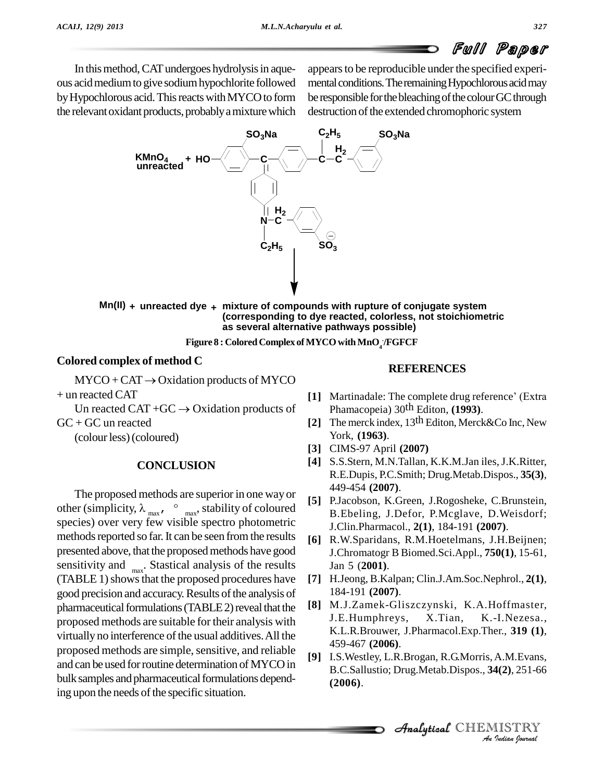In this method, CAT undergoes hydrolysis in aqueous acidmediumto give sodiumhypochlorite followed by Hypochlorous acid. This reacts with MYCO to form the relevant oxidant products, probably a mixture which appears to be reproducible under the specified experimental conditions. The remaining Hypochlorous acid may be responsible for the bleaching of the colour GC through destruction of the extended chromophoric system



**Mn(II) + unreacted dye + mixture of compounds with rupture of conjugate system (corresponding to dye reacted, colorless, not stoichiometric as several alternative pathways possible)**

**Figure 8 : ColoredComplex ofMYCOwithMnO<sup>4</sup> -/FGFCF**

#### **Colored complex of method C**

 $MYCO + CAT \rightarrow Oxidation$  products of MYCO  $+$  un reacted CAT

Un reacted CAT + $GC \rightarrow Oxidation$  products of  $GC + GC$  un reacted

(colourless)(coloured)

#### **CONCLUSION**

The proposed methods are superior in one way or The proposed methods are superior in one way or<br>
other (simplicity,  $\lambda_{max}$ ,  $\circ$   $_{max}$ , stability of coloured  $\begin{bmatrix} 5 & 1 \\ 8 & 5 \end{bmatrix}$ species) over very few visible spectro photometric methods reported so far. It can be seen from the results presented above, that the proposed methods have good sensitivity and  $\frac{1}{\text{max}}$ . Stastical analysis of the results (TABLE 1) shows that the proposed procedures have good precision and accuracy. Results of the analysis of pharmaceutical formulations (TABLE 2) reveal that the proposed methods are suitable for their analysis with virtually no interference of the usual additives. All the  $459-467(2006)$ . proposed methods are simple, sensitive, and reliable and can be used for routine determination of MYCO in bulk samples and pharmaceutical formulations depending upon the needs of the specific situation.

#### **REFERENCES**

- [1] Martinadale: The complete drug reference' (Extra Phamacopeia) 30 th Editon, **(1993)**.
- **[2]** The merck index, 13 th Editon, Merck&Co Inc, New York, **(1963)**.
- **[3]** CIMS-97 April **(2007)**
- **[4]** S.S.Stern, M.N.Tallan, K.K.M.Jan iles,J.K.Ritter, R.E.Dupis, P.C.Smith; Drug.Metab.Dispos., **35(3)**, 449-454 **(2007)**.
- **[5]** P.Jacobson, K.Green, J.Rogosheke, C.Brunstein, B.Ebeling, J.Defor, P.Mcglave, D.Weisdorf; J.Clin.Pharmacol., **2(1)**, 184-191 **(2007)**.
- **[6]** R.W.Sparidans, R.M.Hoetelmans, J.H.Beijnen; J.Chromatogr B Biomed.Sci.Appl., **750(1)**, 15-61, Jan 5 (**2001)**.
- **[7]** H.Jeong, B.Kalpan; Clin.J.Am.Soc.Nephrol., **2(1)**, 184-191 **(2007)**.
- **[8]** M.J.Zamek-Gliszczynski, K.A.Hoffmaster, J.E.Humphreys, X.Tian, K.-I.Nezesa., K.L.R.Brouwer, J.Pharmacol.Exp.Ther., **<sup>319</sup> (1)**,459-467 **(2006)**.
- **[9]** I.S.Westley, L.R.Brogan, R.G.Morris, A.M.Evans, *A.M.Evans,<br>4(2), 251-66<br>IISTRY<br><sup><i>Indian Iournal*</sup> B.C.Sallustio; Drug.Metab.Dispos., **34(2)**, 251-66 **(2006)**.

**Analytical** CHEMISTRY